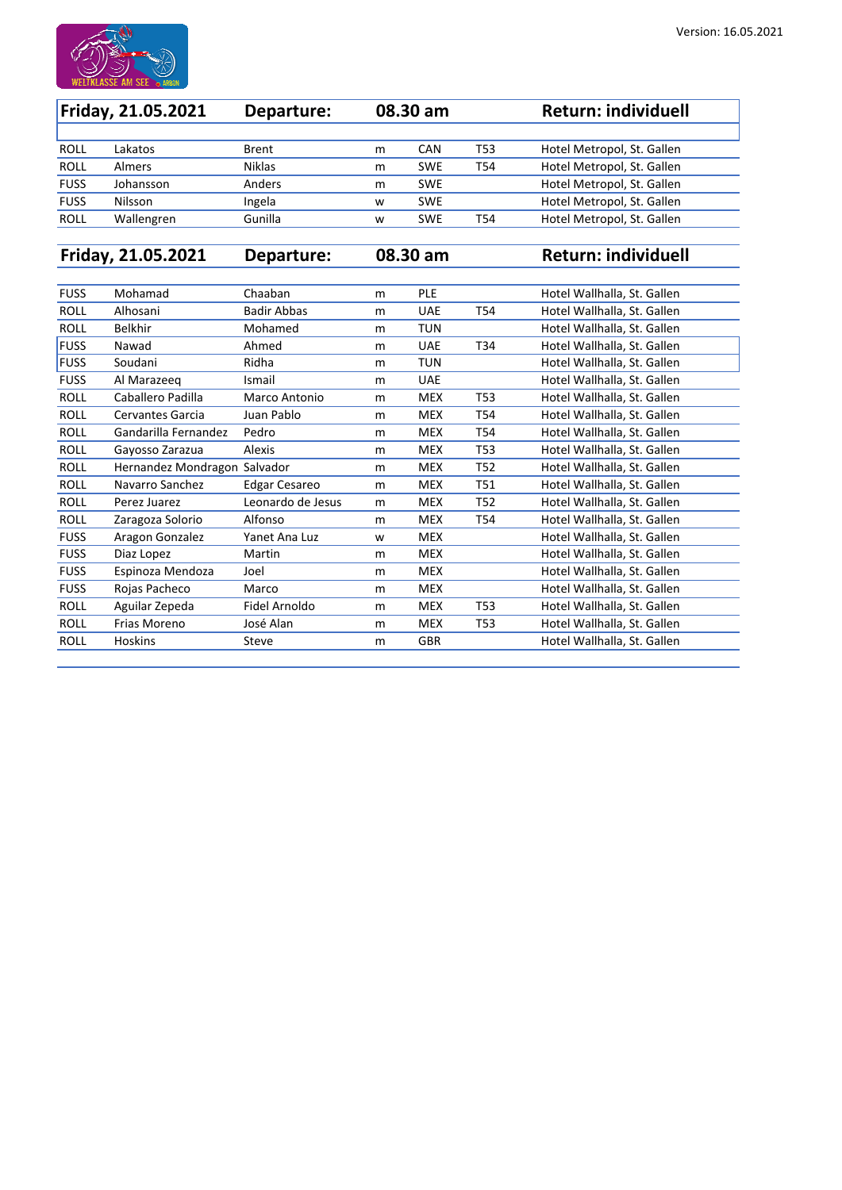

| <b>Friday, 21.05.2021</b> |               | Departure:    | 08.30 am |            |     | <b>Return: individuell</b> |
|---------------------------|---------------|---------------|----------|------------|-----|----------------------------|
|                           |               |               |          |            |     |                            |
| <b>ROLL</b>               | Lakatos       | <b>Brent</b>  | m        | <b>CAN</b> | T53 | Hotel Metropol, St. Gallen |
| <b>ROLL</b>               | <b>Almers</b> | <b>Niklas</b> | m        | <b>SWE</b> | T54 | Hotel Metropol, St. Gallen |
| <b>FUSS</b>               | Johansson     | Anders        | m        | <b>SWE</b> |     | Hotel Metropol, St. Gallen |
| <b>FUSS</b>               | Nilsson       | Ingela        | W        | <b>SWE</b> |     | Hotel Metropol, St. Gallen |
| <b>ROLL</b>               | Wallengren    | Gunilla       | W        | <b>SWE</b> | T54 | Hotel Metropol, St. Gallen |

**Friday, 21.05.2021 Departure: 08.30 am Return: individuell**

| <b>FUSS</b> | Mohamad                      | Chaaban              | m | <b>PLE</b> |                 | Hotel Wallhalla, St. Gallen |
|-------------|------------------------------|----------------------|---|------------|-----------------|-----------------------------|
| <b>ROLL</b> | Alhosani                     | <b>Badir Abbas</b>   | m | <b>UAE</b> | T <sub>54</sub> | Hotel Wallhalla, St. Gallen |
| <b>ROLL</b> | <b>Belkhir</b>               | Mohamed              | m | <b>TUN</b> |                 | Hotel Wallhalla, St. Gallen |
| <b>FUSS</b> | Nawad                        | Ahmed                | m | <b>UAE</b> | T34             | Hotel Wallhalla, St. Gallen |
| <b>FUSS</b> | Soudani                      | Ridha                | m | <b>TUN</b> |                 | Hotel Wallhalla, St. Gallen |
| <b>FUSS</b> | Al Marazeeg                  | Ismail               | m | <b>UAE</b> |                 | Hotel Wallhalla, St. Gallen |
| <b>ROLL</b> | Caballero Padilla            | Marco Antonio        | m | <b>MEX</b> | T53             | Hotel Wallhalla, St. Gallen |
| <b>ROLL</b> | <b>Cervantes Garcia</b>      | Juan Pablo           | m | <b>MEX</b> | <b>T54</b>      | Hotel Wallhalla, St. Gallen |
| <b>ROLL</b> | Gandarilla Fernandez         | Pedro                | m | <b>MEX</b> | T54             | Hotel Wallhalla, St. Gallen |
| <b>ROLL</b> | Gayosso Zarazua              | <b>Alexis</b>        | m | <b>MEX</b> | T <sub>53</sub> | Hotel Wallhalla, St. Gallen |
| <b>ROLL</b> | Hernandez Mondragon Salvador |                      | m | <b>MEX</b> | T <sub>52</sub> | Hotel Wallhalla, St. Gallen |
| <b>ROLL</b> | Navarro Sanchez              | <b>Edgar Cesareo</b> | m | <b>MEX</b> | T51             | Hotel Wallhalla, St. Gallen |
| <b>ROLL</b> | Perez Juarez                 | Leonardo de Jesus    | m | <b>MEX</b> | T <sub>52</sub> | Hotel Wallhalla, St. Gallen |
| <b>ROLL</b> | Zaragoza Solorio             | Alfonso              | m | <b>MEX</b> | T <sub>54</sub> | Hotel Wallhalla, St. Gallen |
| <b>FUSS</b> | Aragon Gonzalez              | Yanet Ana Luz        | W | <b>MEX</b> |                 | Hotel Wallhalla, St. Gallen |
| <b>FUSS</b> | Diaz Lopez                   | Martin               | m | <b>MEX</b> |                 | Hotel Wallhalla, St. Gallen |
| <b>FUSS</b> | Espinoza Mendoza             | Joel                 | m | <b>MEX</b> |                 | Hotel Wallhalla, St. Gallen |
| <b>FUSS</b> | Rojas Pacheco                | Marco                | m | <b>MEX</b> |                 | Hotel Wallhalla, St. Gallen |
| <b>ROLL</b> | Aguilar Zepeda               | Fidel Arnoldo        | m | <b>MEX</b> | T53             | Hotel Wallhalla, St. Gallen |
| <b>ROLL</b> | Frias Moreno                 | José Alan            | m | <b>MEX</b> | T <sub>53</sub> | Hotel Wallhalla, St. Gallen |
| <b>ROLL</b> | <b>Hoskins</b>               | <b>Steve</b>         | m | <b>GBR</b> |                 | Hotel Wallhalla, St. Gallen |
|             |                              |                      |   |            |                 |                             |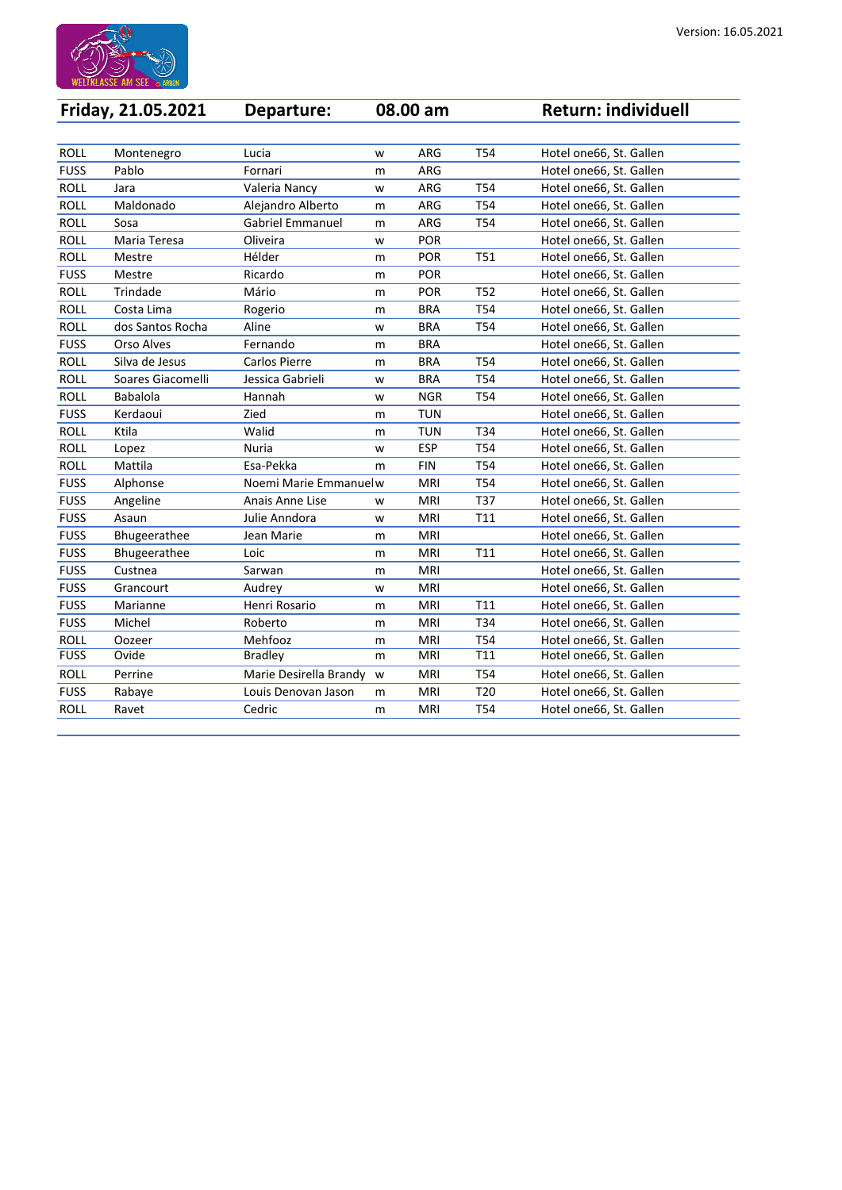

|             | <b>Friday, 21.05.2021</b> | Departure:              |   | 08.00 am   |                 | <b>Return: individuell</b> |
|-------------|---------------------------|-------------------------|---|------------|-----------------|----------------------------|
|             |                           |                         |   |            |                 |                            |
| <b>ROLL</b> | Montenegro                | Lucia                   | W | <b>ARG</b> | <b>T54</b>      | Hotel one66, St. Gallen    |
| <b>FUSS</b> | Pablo                     | Fornari                 | m | <b>ARG</b> |                 | Hotel one66, St. Gallen    |
| <b>ROLL</b> | Jara                      | Valeria Nancy           | W | <b>ARG</b> | <b>T54</b>      | Hotel one66, St. Gallen    |
| <b>ROLL</b> | Maldonado                 | Alejandro Alberto       | m | <b>ARG</b> | T <sub>54</sub> | Hotel one66, St. Gallen    |
| <b>ROLL</b> | Sosa                      | <b>Gabriel Emmanuel</b> | m | <b>ARG</b> | T <sub>54</sub> | Hotel one66, St. Gallen    |
| <b>ROLL</b> | Maria Teresa              | Oliveira                | W | <b>POR</b> |                 | Hotel one66, St. Gallen    |
| <b>ROLL</b> | Mestre                    | Hélder                  | m | <b>POR</b> | <b>T51</b>      | Hotel one66, St. Gallen    |
| <b>FUSS</b> | Mestre                    | Ricardo                 | m | <b>POR</b> |                 | Hotel one66, St. Gallen    |
| <b>ROLL</b> | Trindade                  | Mário                   | m | <b>POR</b> | <b>T52</b>      | Hotel one66, St. Gallen    |
| <b>ROLL</b> | Costa Lima                | Rogerio                 | m | <b>BRA</b> | <b>T54</b>      | Hotel one66, St. Gallen    |
| <b>ROLL</b> | dos Santos Rocha          | Aline                   | W | <b>BRA</b> | T54             | Hotel one66, St. Gallen    |
| <b>FUSS</b> | <b>Orso Alves</b>         | Fernando                | m | <b>BRA</b> |                 | Hotel one66, St. Gallen    |
| <b>ROLL</b> | Silva de Jesus            | <b>Carlos Pierre</b>    | m | <b>BRA</b> | <b>T54</b>      | Hotel one66, St. Gallen    |
| <b>ROLL</b> | Soares Giacomelli         | Jessica Gabrieli        | W | <b>BRA</b> | <b>T54</b>      | Hotel one66, St. Gallen    |
| <b>ROLL</b> | <b>Babalola</b>           | Hannah                  | W | <b>NGR</b> | T <sub>54</sub> | Hotel one66, St. Gallen    |
| <b>FUSS</b> | Kerdaoui                  | Zied                    | m | <b>TUN</b> |                 | Hotel one66, St. Gallen    |
| <b>ROLL</b> | Ktila                     | Walid                   | m | <b>TUN</b> | T34             | Hotel one66, St. Gallen    |
| <b>ROLL</b> | Lopez                     | <b>Nuria</b>            | W | <b>ESP</b> | T54             | Hotel one66, St. Gallen    |
| <b>ROLL</b> | Mattila                   | Esa-Pekka               | m | <b>FIN</b> | <b>T54</b>      | Hotel one66, St. Gallen    |
| <b>FUSS</b> | Alphonse                  | Noemi Marie Emmanuel w  |   | <b>MRI</b> | T54             | Hotel one66, St. Gallen    |
| <b>FUSS</b> | Angeline                  | Anais Anne Lise         | W | <b>MRI</b> | T37             | Hotel one66, St. Gallen    |
| <b>FUSS</b> | Asaun                     | Julie Anndora           | W | <b>MRI</b> | T11             | Hotel one66, St. Gallen    |
| <b>FUSS</b> | Bhugeerathee              | Jean Marie              | m | <b>MRI</b> |                 | Hotel one66, St. Gallen    |
| <b>FUSS</b> | <b>Bhugeerathee</b>       | Loic                    | m | MRI        | T11             | Hotel one66, St. Gallen    |
| <b>FUSS</b> | Custnea                   | Sarwan                  | m | <b>MRI</b> |                 | Hotel one66, St. Gallen    |
| <b>FUSS</b> | Grancourt                 | Audrey                  | W | <b>MRI</b> |                 | Hotel one66, St. Gallen    |
| <b>FUSS</b> | Marianne                  | Henri Rosario           | m | <b>MRI</b> | T <sub>11</sub> | Hotel one66, St. Gallen    |
| <b>FUSS</b> | Michel                    | Roberto                 | m | <b>MRI</b> | T34             | Hotel one66, St. Gallen    |
| <b>ROLL</b> | Oozeer                    | Mehfooz                 | m | <b>MRI</b> | T54             | Hotel one66, St. Gallen    |
| <b>FUSS</b> | Ovide                     | <b>Bradley</b>          | m | <b>MRI</b> | T11             | Hotel one66, St. Gallen    |
| <b>ROLL</b> | Perrine                   | Marie Desirella Brandy  | W | <b>MRI</b> | T54             | Hotel one66, St. Gallen    |
| <b>FUSS</b> | Rabaye                    | Louis Denovan Jason     | m | <b>MRI</b> | T <sub>20</sub> | Hotel one66, St. Gallen    |
| <b>ROLL</b> | Ravet                     | Cedric                  | m | <b>MRI</b> | T54             | Hotel one66, St. Gallen    |